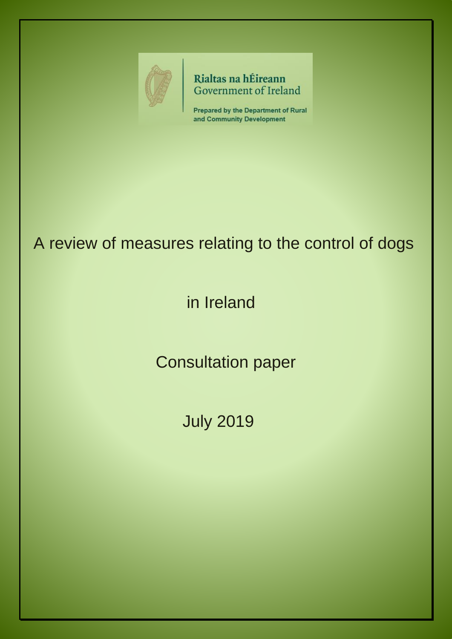

Rialtas na hÉireann Government of Ireland

**Prepared by the Department of Rural** and Community Development

# A review of measures relating to the control of dogs

# in Ireland

Consultation paper

July 2019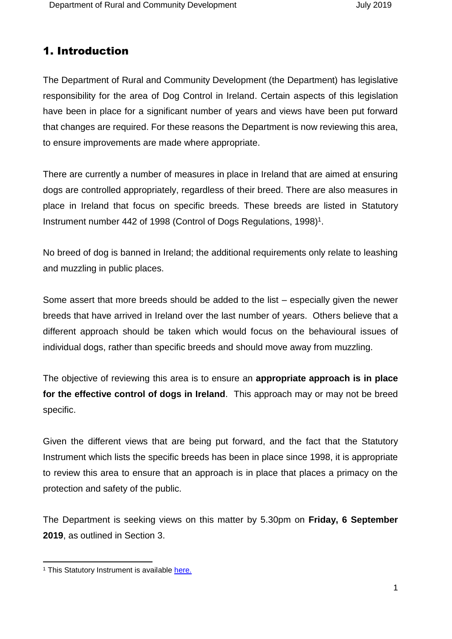# 1. Introduction

The Department of Rural and Community Development (the Department) has legislative responsibility for the area of Dog Control in Ireland. Certain aspects of this legislation have been in place for a significant number of years and views have been put forward that changes are required. For these reasons the Department is now reviewing this area, to ensure improvements are made where appropriate.

There are currently a number of measures in place in Ireland that are aimed at ensuring dogs are controlled appropriately, regardless of their breed. There are also measures in place in Ireland that focus on specific breeds. These breeds are listed in Statutory Instrument number 442 of 1998 (Control of Dogs Regulations, 1998) 1 .

<span id="page-1-0"></span>No breed of dog is banned in Ireland; the additional requirements only relate to leashing and muzzling in public places.

Some assert that more breeds should be added to the list – especially given the newer breeds that have arrived in Ireland over the last number of years. Others believe that a different approach should be taken which would focus on the behavioural issues of individual dogs, rather than specific breeds and should move away from muzzling.

The objective of reviewing this area is to ensure an **appropriate approach is in place for the effective control of dogs in Ireland**. This approach may or may not be breed specific.

Given the different views that are being put forward, and the fact that the Statutory Instrument which lists the specific breeds has been in place since 1998, it is appropriate to review this area to ensure that an approach is in place that places a primacy on the protection and safety of the public.

The Department is seeking views on this matter by 5.30pm on **Friday, 6 September 2019**, as outlined in Section 3.

-

<sup>&</sup>lt;sup>1</sup> This Statutory Instrument is available [here.](http://www.irishstatutebook.ie/eli/1998/si/442/made/en/print)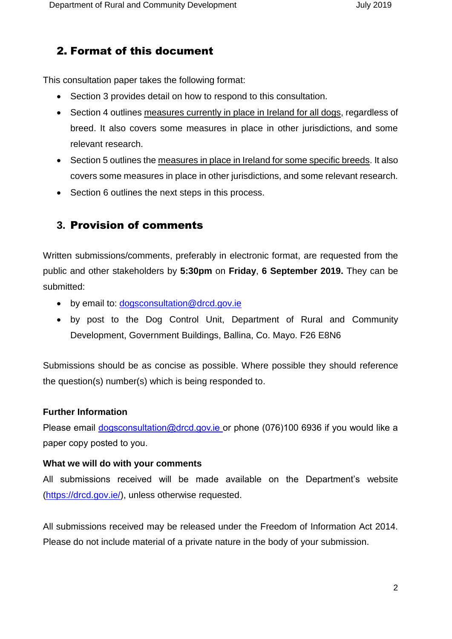# 2. Format of this document

This consultation paper takes the following format:

- Section 3 provides detail on how to respond to this consultation.
- Section 4 outlines measures currently in place in Ireland for all dogs, regardless of breed. It also covers some measures in place in other jurisdictions, and some relevant research.
- Section 5 outlines the measures in place in Ireland for some specific breeds. It also covers some measures in place in other jurisdictions, and some relevant research.
- Section 6 outlines the next steps in this process.

## **3.** Provision of comments

Written submissions/comments, preferably in electronic format, are requested from the public and other stakeholders by **5:30pm** on **Friday**, **6 September 2019.** They can be submitted:

- by email to: [dogsconsultation@drcd.gov.ie](mailto:dogsconsultation@drcd.gov.ie)
- by post to the Dog Control Unit, Department of Rural and Community Development, Government Buildings, Ballina, Co. Mayo. F26 E8N6

Submissions should be as concise as possible. Where possible they should reference the question(s) number(s) which is being responded to.

#### **Further Information**

Please email [dogsconsultation@drcd.gov.ie](mailto:dogsconsultation@drcd.gov.ie) or phone (076)100 6936 if you would like a paper copy posted to you.

#### **What we will do with your comments**

All submissions received will be made available on the Department's website [\(https://drcd.gov.ie/\)](https://drcd.gov.ie/), unless otherwise requested.

All submissions received may be released under the Freedom of Information Act 2014. Please do not include material of a private nature in the body of your submission.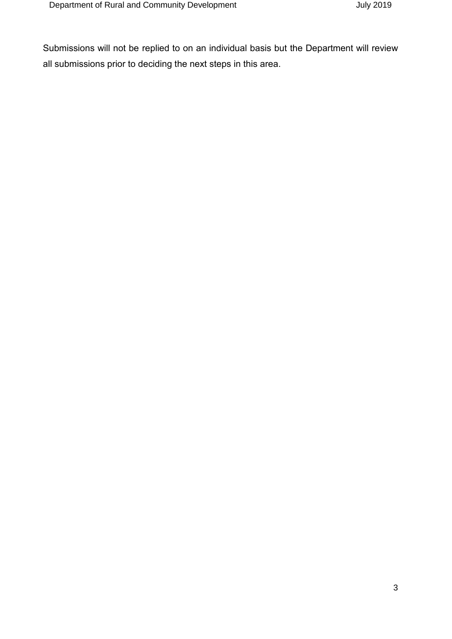Submissions will not be replied to on an individual basis but the Department will review all submissions prior to deciding the next steps in this area.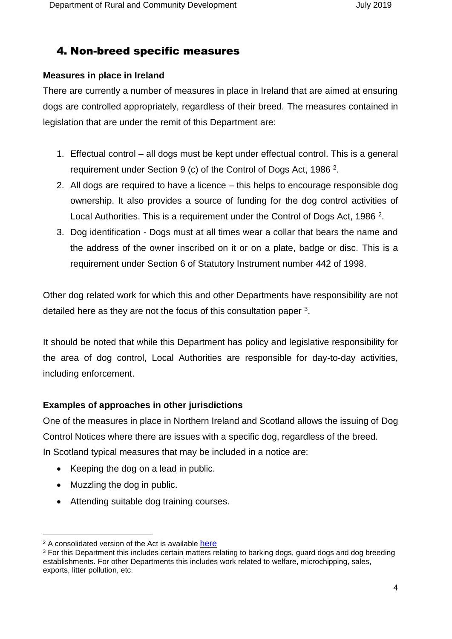# 4. Non-breed specific measures

### **Measures in place in Ireland**

There are currently a number of measures in place in Ireland that are aimed at ensuring dogs are controlled appropriately, regardless of their breed. The measures contained in legislation that are under the remit of this Department are:

- <span id="page-4-0"></span>1. Effectual control – all dogs must be kept under effectual control. This is a general requirement under Section 9 (c) of the Control of Dogs Act, 1986<sup>2</sup>.
- 2. All dogs are required to have a licence this helps to encourage responsible dog ownership. It also provides a source of funding for the dog control activities of Local Authorities. This is a requirement under the Control of Dogs Act, 1986<sup>[2](#page-4-0)</sup>.
- 3. Dog identification Dogs must at all times wear a collar that bears the name and the address of the owner inscribed on it or on a plate, badge or disc. This is a requirement under Section 6 of Statutory Instrument number 442 of 1998.

Other dog related work for which this and other Departments have responsibility are not detailed here as they are not the focus of this consultation paper  $3$ .

It should be noted that while this Department has policy and legislative responsibility for the area of dog control, Local Authorities are responsible for day-to-day activities, including enforcement.

## **Examples of approaches in other jurisdictions**

One of the measures in place in Northern Ireland and Scotland allows the issuing of Dog Control Notices where there are issues with a specific dog, regardless of the breed. In Scotland typical measures that may be included in a notice are:

- Keeping the dog on a lead in public.
- Muzzling the dog in public.

-

Attending suitable dog training courses.

<sup>&</sup>lt;sup>2</sup> A consolidated version of the Act is available [here](http://revisedacts.lawreform.ie/eli/1986/act/32/revised/en/html)

<sup>&</sup>lt;sup>3</sup> For this Department this includes certain matters relating to barking dogs, guard dogs and dog breeding establishments. For other Departments this includes work related to welfare, microchipping, sales, exports, litter pollution, etc.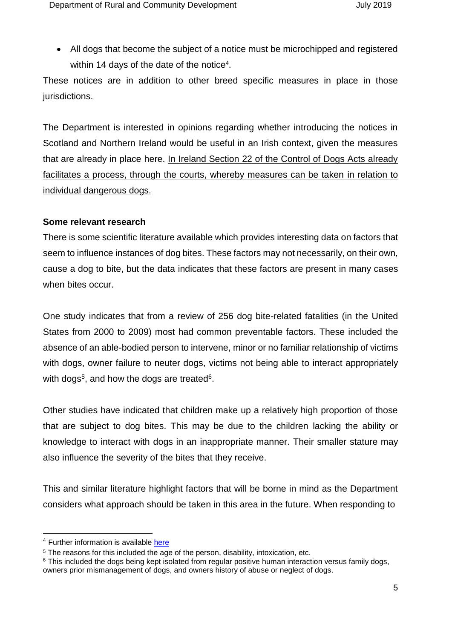All dogs that become the subject of a notice must be microchipped and registered within 14 days of the date of the notice<sup>4</sup>.

These notices are in addition to other breed specific measures in place in those jurisdictions.

The Department is interested in opinions regarding whether introducing the notices in Scotland and Northern Ireland would be useful in an Irish context, given the measures that are already in place here. In Ireland Section 22 of the Control of Dogs Acts already facilitates a process, through the courts, whereby measures can be taken in relation to individual dangerous dogs.

#### **Some relevant research**

There is some scientific literature available which provides interesting data on factors that seem to influence instances of dog bites. These factors may not necessarily, on their own, cause a dog to bite, but the data indicates that these factors are present in many cases when bites occur.

One study indicates that from a review of 256 dog bite-related fatalities (in the United States from 2000 to 2009) most had common preventable factors. These included the absence of an able-bodied person to intervene, minor or no familiar relationship of victims with dogs, owner failure to neuter dogs, victims not being able to interact appropriately with dogs<sup>5</sup>, and how the dogs are treated<sup>6</sup>.

Other studies have indicated that children make up a relatively high proportion of those that are subject to dog bites. This may be due to the children lacking the ability or knowledge to interact with dogs in an inappropriate manner. Their smaller stature may also influence the severity of the bites that they receive.

This and similar literature highlight factors that will be borne in mind as the Department considers what approach should be taken in this area in the future. When responding to

-

<sup>&</sup>lt;sup>4</sup> Further information is available [here](https://www.highland.gov.uk/downloads/file/6371/the_control_of_dogs_scotland_act_2010)

<sup>&</sup>lt;sup>5</sup> The reasons for this included the age of the person, disability, intoxication, etc.

<sup>&</sup>lt;sup>6</sup> This included the dogs being kept isolated from regular positive human interaction versus family dogs, owners prior mismanagement of dogs, and owners history of abuse or neglect of dogs.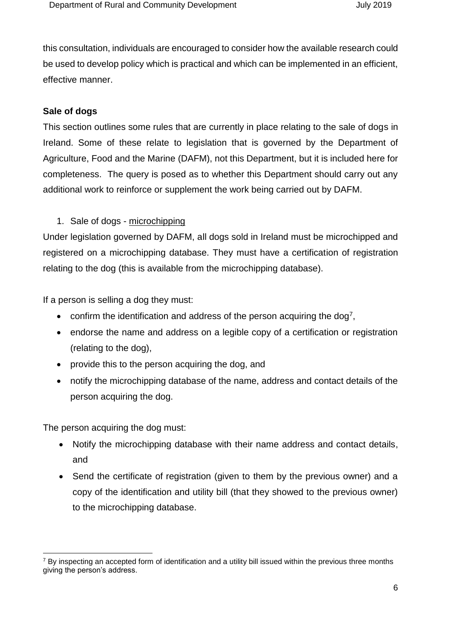this consultation, individuals are encouraged to consider how the available research could be used to develop policy which is practical and which can be implemented in an efficient, effective manner.

#### **Sale of dogs**

This section outlines some rules that are currently in place relating to the sale of dogs in Ireland. Some of these relate to legislation that is governed by the Department of Agriculture, Food and the Marine (DAFM), not this Department, but it is included here for completeness. The query is posed as to whether this Department should carry out any additional work to reinforce or supplement the work being carried out by DAFM.

## 1. Sale of dogs - microchipping

Under legislation governed by DAFM, all dogs sold in Ireland must be microchipped and registered on a microchipping database. They must have a certification of registration relating to the dog (this is available from the microchipping database).

If a person is selling a dog they must:

- confirm the identification and address of the person acquiring the dog<sup>7</sup>,
- endorse the name and address on a legible copy of a certification or registration (relating to the dog),
- provide this to the person acquiring the dog, and
- notify the microchipping database of the name, address and contact details of the person acquiring the dog.

The person acquiring the dog must:

- Notify the microchipping database with their name address and contact details, and
- Send the certificate of registration (given to them by the previous owner) and a copy of the identification and utility bill (that they showed to the previous owner) to the microchipping database.

<sup>-</sup><sup>7</sup> By inspecting an accepted form of identification and a utility bill issued within the previous three months giving the person's address.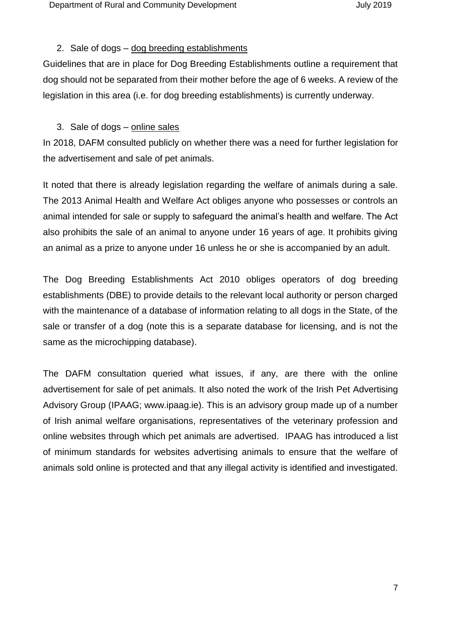#### 2. Sale of dogs – dog breeding establishments

Guidelines that are in place for Dog Breeding Establishments outline a requirement that dog should not be separated from their mother before the age of 6 weeks. A review of the legislation in this area (i.e. for dog breeding establishments) is currently underway.

#### 3. Sale of dogs - online sales

In 2018, DAFM consulted publicly on whether there was a need for further legislation for the advertisement and sale of pet animals.

It noted that there is already legislation regarding the welfare of animals during a sale. The 2013 Animal Health and Welfare Act obliges anyone who possesses or controls an animal intended for sale or supply to safeguard the animal's health and welfare. The Act also prohibits the sale of an animal to anyone under 16 years of age. It prohibits giving an animal as a prize to anyone under 16 unless he or she is accompanied by an adult.

The Dog Breeding Establishments Act 2010 obliges operators of dog breeding establishments (DBE) to provide details to the relevant local authority or person charged with the maintenance of a database of information relating to all dogs in the State, of the sale or transfer of a dog (note this is a separate database for licensing, and is not the same as the microchipping database).

The DAFM consultation queried what issues, if any, are there with the online advertisement for sale of pet animals. It also noted the work of the Irish Pet Advertising Advisory Group (IPAAG; www.ipaag.ie). This is an advisory group made up of a number of Irish animal welfare organisations, representatives of the veterinary profession and online websites through which pet animals are advertised. IPAAG has introduced a list of minimum standards for websites advertising animals to ensure that the welfare of animals sold online is protected and that any illegal activity is identified and investigated.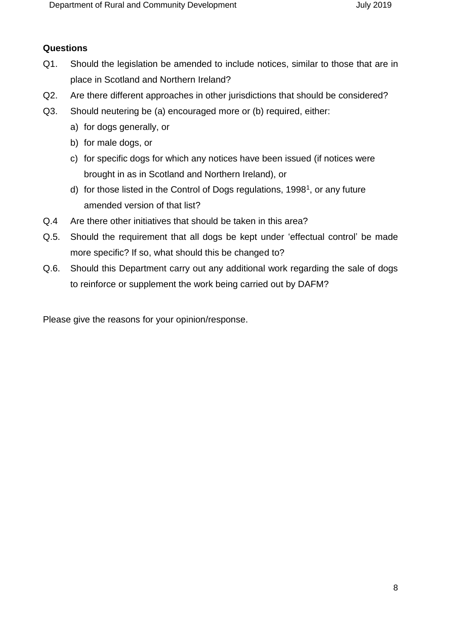## **Questions**

- Q1. Should the legislation be amended to include notices, similar to those that are in place in Scotland and Northern Ireland?
- Q2. Are there different approaches in other jurisdictions that should be considered?
- Q3. Should neutering be (a) encouraged more or (b) required, either:
	- a) for dogs generally, or
	- b) for male dogs, or
	- c) for specific dogs for which any notices have been issued (if notices were brought in as in Scotland and Northern Ireland), or
	- d) for those listed in the Control of Dogs regulations, [1](#page-1-0)998<sup>1</sup>, or any future amended version of that list?
- Q.4 Are there other initiatives that should be taken in this area?
- Q.5. Should the requirement that all dogs be kept under 'effectual control' be made more specific? If so, what should this be changed to?
- Q.6. Should this Department carry out any additional work regarding the sale of dogs to reinforce or supplement the work being carried out by DAFM?

Please give the reasons for your opinion/response.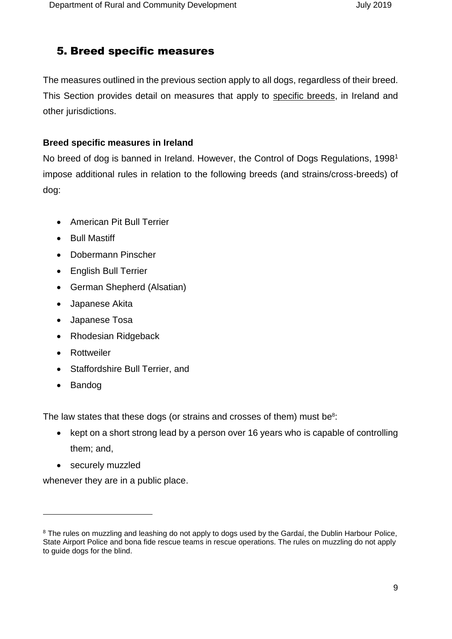# 5. Breed specific measures

The measures outlined in the previous section apply to all dogs, regardless of their breed. This Section provides detail on measures that apply to specific breeds, in Ireland and other jurisdictions.

## **Breed specific measures in Ireland**

No breed of dog is banned in Ireland. However, [the Control of Dogs Regulations,](http://www.irishstatutebook.ie/1998/en/si/0442.html) [1](#page-1-0)998<sup>1</sup> impose additional rules in relation to the following breeds (and strains/cross-breeds) of dog:

- American Pit Bull Terrier
- Bull Mastiff
- Dobermann Pinscher
- English Bull Terrier
- German Shepherd (Alsatian)
- Japanese Akita
- Japanese Tosa
- Rhodesian Ridgeback
- Rottweiler
- Staffordshire Bull Terrier, and
- Bandog

-

The law states that these dogs (or strains and crosses of them) must be $8$ :

- kept on a short strong lead by a person over 16 years who is capable of controlling them; and,
- securely muzzled

whenever they are in a public place.

<sup>&</sup>lt;sup>8</sup> The rules on muzzling and leashing do not apply to dogs used by the Gardaí, the Dublin Harbour Police, State Airport Police and bona fide rescue teams in rescue operations. The rules on muzzling do not apply to guide dogs for the blind.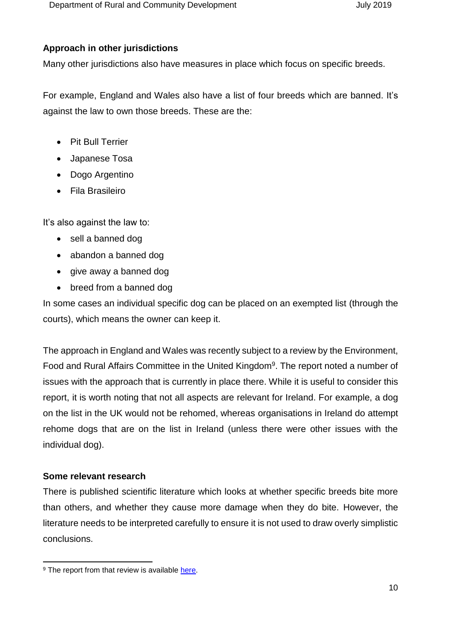### **Approach in other jurisdictions**

Many other jurisdictions also have measures in place which focus on specific breeds.

For example, England and Wales also have a list of four breeds which are banned. It's against the law to own those breeds. These are the:

- Pit Bull Terrier
- Japanese Tosa
- Dogo Argentino
- Fila Brasileiro

It's also against the law to:

- sell a banned dog
- abandon a banned dog
- give away a banned dog
- breed from a banned dog

In some cases an individual specific dog can be placed on an exempted list (through the courts), which means the owner can keep it.

The approach in England and Wales was recently subject to a review by the Environment, Food and Rural Affairs Committee in the United Kingdom<sup>9</sup>. The report noted a number of issues with the approach that is currently in place there. While it is useful to consider this report, it is worth noting that not all aspects are relevant for Ireland. For example, a dog on the list in the UK would not be rehomed, whereas organisations in Ireland do attempt rehome dogs that are on the list in Ireland (unless there were other issues with the individual dog).

## **Some relevant research**

-

There is published scientific literature which looks at whether specific breeds bite more than others, and whether they cause more damage when they do bite. However, the literature needs to be interpreted carefully to ensure it is not used to draw overly simplistic conclusions.

<sup>&</sup>lt;sup>9</sup> The report from that review is available [here.](https://publications.parliament.uk/pa/cm201719/cmselect/cmenvfru/1040/1040.pdf)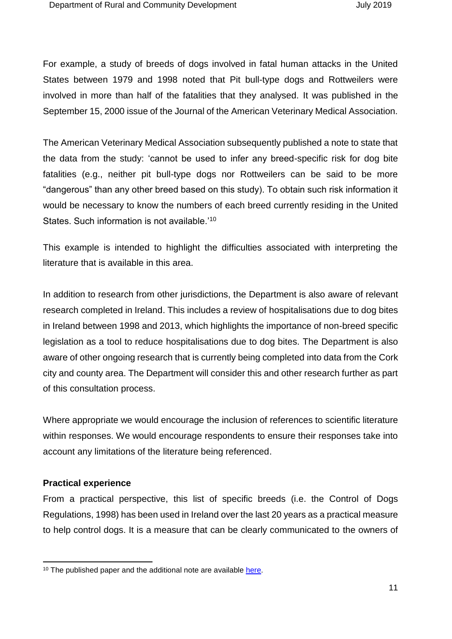For example, a study of breeds of dogs involved in fatal human attacks in the United States between 1979 and 1998 noted that Pit bull-type dogs and Rottweilers were involved in more than half of the fatalities that they analysed. It was published in the September 15, 2000 issue of the Journal of the American Veterinary Medical Association.

The American Veterinary Medical Association subsequently published a note to state that the data from the study: 'cannot be used to infer any breed-specific risk for dog bite fatalities (e.g., neither pit bull-type dogs nor Rottweilers can be said to be more "dangerous" than any other breed based on this study). To obtain such risk information it would be necessary to know the numbers of each breed currently residing in the United States. Such information is not available.'<sup>10</sup>

This example is intended to highlight the difficulties associated with interpreting the literature that is available in this area.

In addition to research from other jurisdictions, the Department is also aware of relevant research completed in Ireland. This includes a review of hospitalisations due to dog bites in Ireland between 1998 and 2013, which highlights the importance of non-breed specific legislation as a tool to reduce hospitalisations due to dog bites. The Department is also aware of other ongoing research that is currently being completed into data from the Cork city and county area. The Department will consider this and other research further as part of this consultation process.

Where appropriate we would encourage the inclusion of references to scientific literature within responses. We would encourage respondents to ensure their responses take into account any limitations of the literature being referenced.

#### **Practical experience**

-

From a practical perspective, this list of specific breeds (i.e. the Control of Dogs Regulations, 1998) has been used in Ireland over the last 20 years as a practical measure to help control dogs. It is a measure that can be clearly communicated to the owners of

<sup>&</sup>lt;sup>10</sup> The published paper and the additional note are available [here.](https://www.avma.org/Advocacy/StateAndLocal/Documents/javma_000915_fatalattacks.pdf)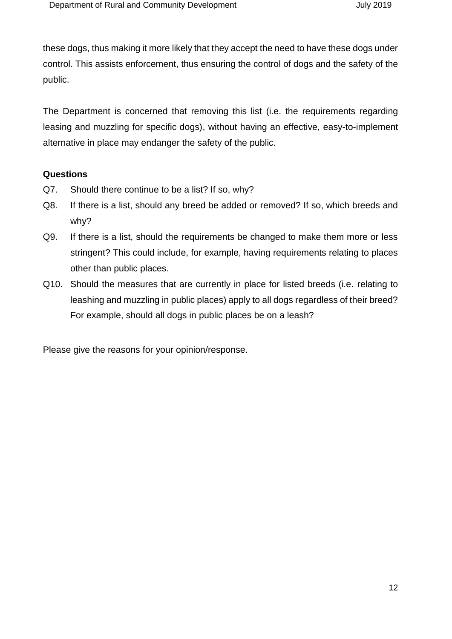these dogs, thus making it more likely that they accept the need to have these dogs under control. This assists enforcement, thus ensuring the control of dogs and the safety of the public.

The Department is concerned that removing this list (i.e. the requirements regarding leasing and muzzling for specific dogs), without having an effective, easy-to-implement alternative in place may endanger the safety of the public.

#### **Questions**

- Q7. Should there continue to be a list? If so, why?
- Q8. If there is a list, should any breed be added or removed? If so, which breeds and why?
- Q9. If there is a list, should the requirements be changed to make them more or less stringent? This could include, for example, having requirements relating to places other than public places.
- Q10. Should the measures that are currently in place for listed breeds (i.e. relating to leashing and muzzling in public places) apply to all dogs regardless of their breed? For example, should all dogs in public places be on a leash?

Please give the reasons for your opinion/response.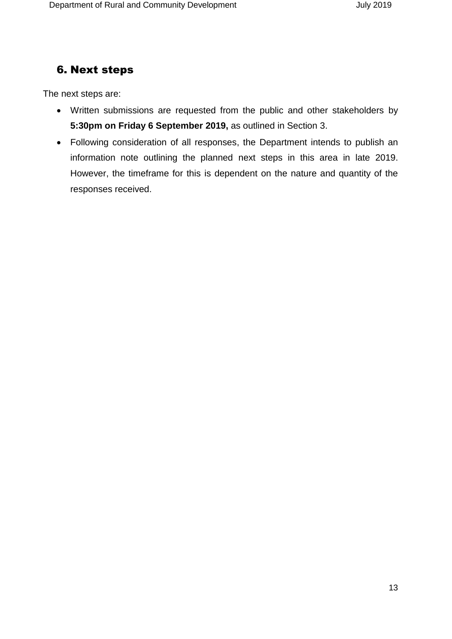## 6. Next steps

The next steps are:

- Written submissions are requested from the public and other stakeholders by **5:30pm on Friday 6 September 2019,** as outlined in Section 3.
- Following consideration of all responses, the Department intends to publish an information note outlining the planned next steps in this area in late 2019. However, the timeframe for this is dependent on the nature and quantity of the responses received.